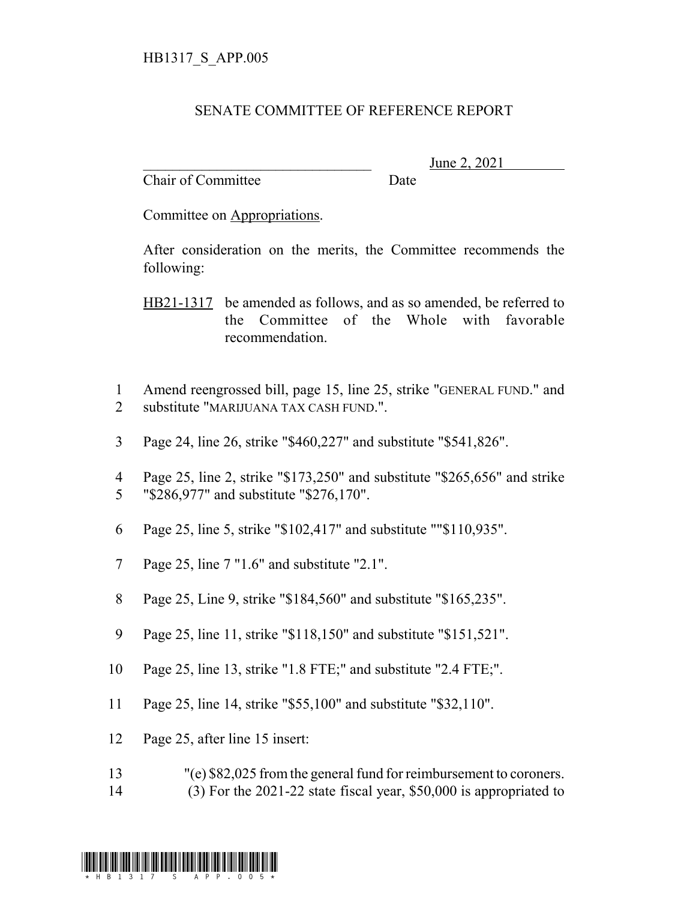## SENATE COMMITTEE OF REFERENCE REPORT

Chair of Committee Date

June 2, 2021

Committee on Appropriations.

After consideration on the merits, the Committee recommends the following:

HB21-1317 be amended as follows, and as so amended, be referred to the Committee of the Whole with favorable recommendation.

- 1 Amend reengrossed bill, page 15, line 25, strike "GENERAL FUND." and 2 substitute "MARIJUANA TAX CASH FUND.".
- 3 Page 24, line 26, strike "\$460,227" and substitute "\$541,826".
- 4 Page 25, line 2, strike "\$173,250" and substitute "\$265,656" and strike 5 "\$286,977" and substitute "\$276,170".
- 6 Page 25, line 5, strike "\$102,417" and substitute ""\$110,935".
- 7 Page 25, line 7 "1.6" and substitute "2.1".
- 8 Page 25, Line 9, strike "\$184,560" and substitute "\$165,235".
- 9 Page 25, line 11, strike "\$118,150" and substitute "\$151,521".
- 10 Page 25, line 13, strike "1.8 FTE;" and substitute "2.4 FTE;".
- 11 Page 25, line 14, strike "\$55,100" and substitute "\$32,110".
- 12 Page 25, after line 15 insert:
- 13 "(e) \$82,025 from the general fund for reimbursement to coroners.
- 14 (3) For the 2021-22 state fiscal year, \$50,000 is appropriated to